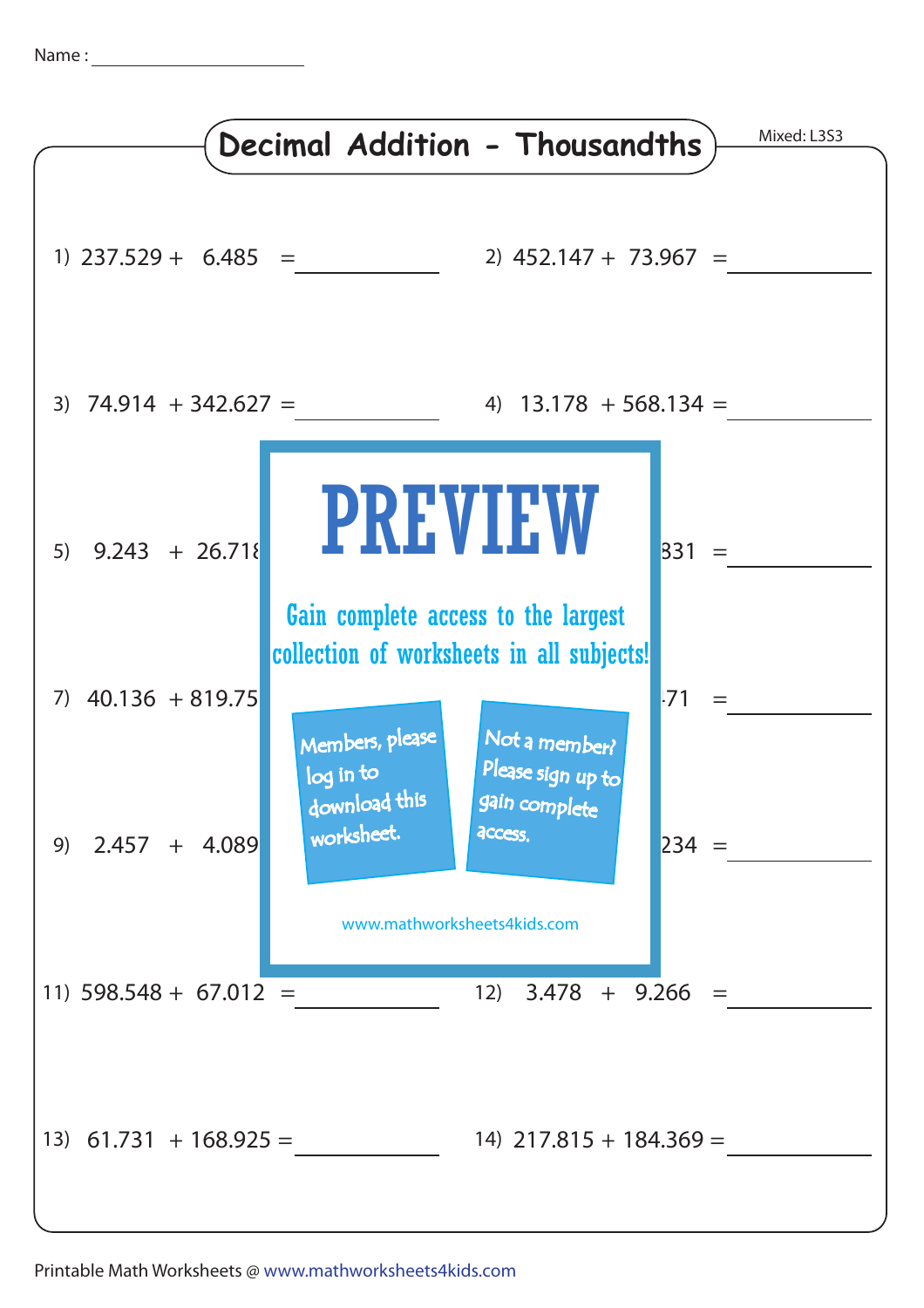